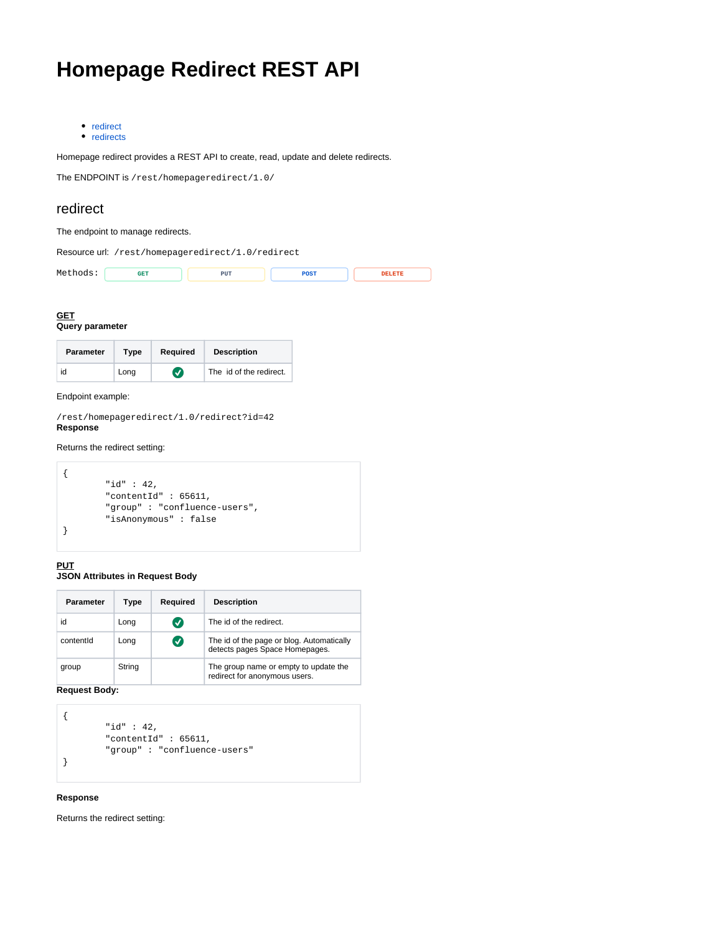# **Homepage Redirect REST API**

• [redirect](#page-0-0) • [redirects](#page-1-0)

Homepage redirect provides a REST API to create, read, update and delete redirects.

The ENDPOINT is /rest/homepageredirect/1.0/

## <span id="page-0-0"></span>redirect

## The endpoint to manage redirects.

Resource url: /rest/homepageredirect/1.0/redirect

| $M \in$<br>. .<br>. | . | PUT<br>--- | ---<br>---- |  |
|---------------------|---|------------|-------------|--|
|                     |   |            |             |  |

# **GET**

**Query parameter**

| <b>Parameter</b> | Type | Required              | <b>Description</b>      |
|------------------|------|-----------------------|-------------------------|
| id               | Long | $\boldsymbol{\sigma}$ | The id of the redirect. |

Endpoint example:

/rest/homepageredirect/1.0/redirect?id=42 **Response**

## Returns the redirect setting:

|  | "id" : $42$ ,                |
|--|------------------------------|
|  | "contentId": $65611,$        |
|  | "group": "confluence-users", |
|  | "isAnonymous": false         |
|  |                              |
|  |                              |

## **PUT**

## **JSON Attributes in Request Body**

| Parameter | Type   | Required      | <b>Description</b>                                                          |
|-----------|--------|---------------|-----------------------------------------------------------------------------|
| id        | Long   | $\bm{\sigma}$ | The id of the redirect.                                                     |
| contentld | Long   | $\bm{\sigma}$ | The id of the page or blog. Automatically<br>detects pages Space Homepages. |
| group     | String |               | The group name or empty to update the<br>redirect for anonymous users.      |

**Request Body:**

```
{
         "id" : 42,
          "contentId" : 65611,
          "group" : "confluence-users"
}
```
#### **Response**

Returns the redirect setting: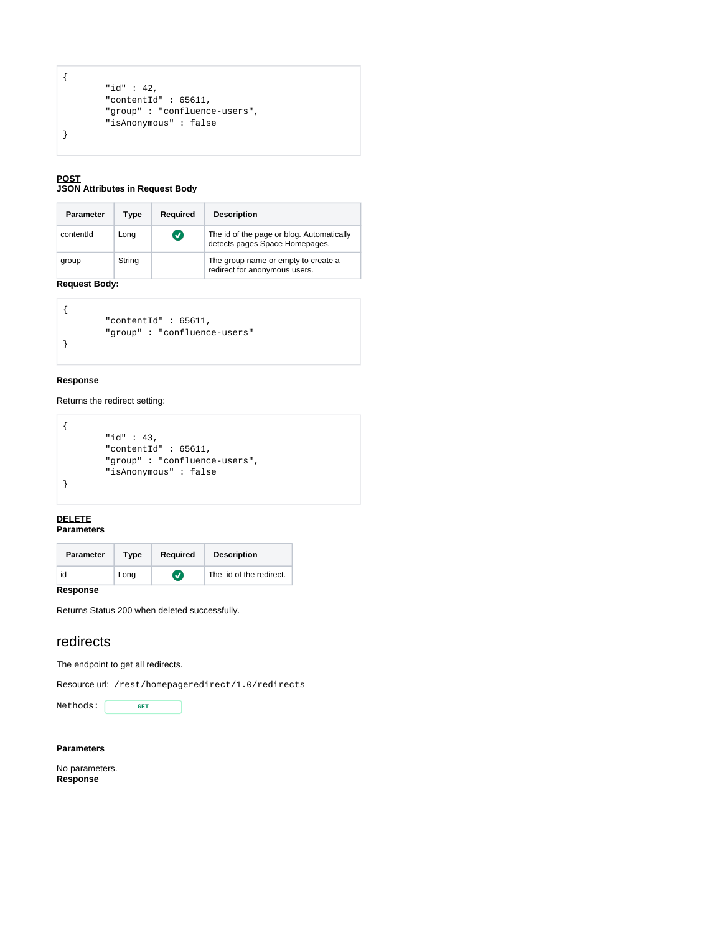```
{
         "id" : 42,
         "contentId" : 65611,
          "group" : "confluence-users",
         "isAnonymous" : false
}
```
#### **POST JSON Attributes in Request Body**

| Parameter | Type   | Required             | <b>Description</b>                                                          |
|-----------|--------|----------------------|-----------------------------------------------------------------------------|
| contentId | Long   | $\blacktriangledown$ | The id of the page or blog. Automatically<br>detects pages Space Homepages. |
| group     | String |                      | The group name or empty to create a<br>redirect for anonymous users.        |

## **Request Body:**

| "contentId": $65611,$       |
|-----------------------------|
| "group": "confluence-users" |
|                             |

## **Response**

## Returns the redirect setting:

|  | "id" : $43$ ,                |
|--|------------------------------|
|  | "contentId": $65611,$        |
|  | "group": "confluence-users", |
|  | "isAnonymous": false         |
|  |                              |
|  |                              |

#### **DELETE Parameters**

| <b>Parameter</b> | Type | Required         | <b>Description</b>      |
|------------------|------|------------------|-------------------------|
| id               | Long | $\boldsymbol{J}$ | The id of the redirect. |

## **Response**

Returns Status 200 when deleted successfully.

# <span id="page-1-0"></span>redirects

The endpoint to get all redirects.

Resource url: /rest/homepageredirect/1.0/redirects



#### **Parameters**

No parameters. **Response**